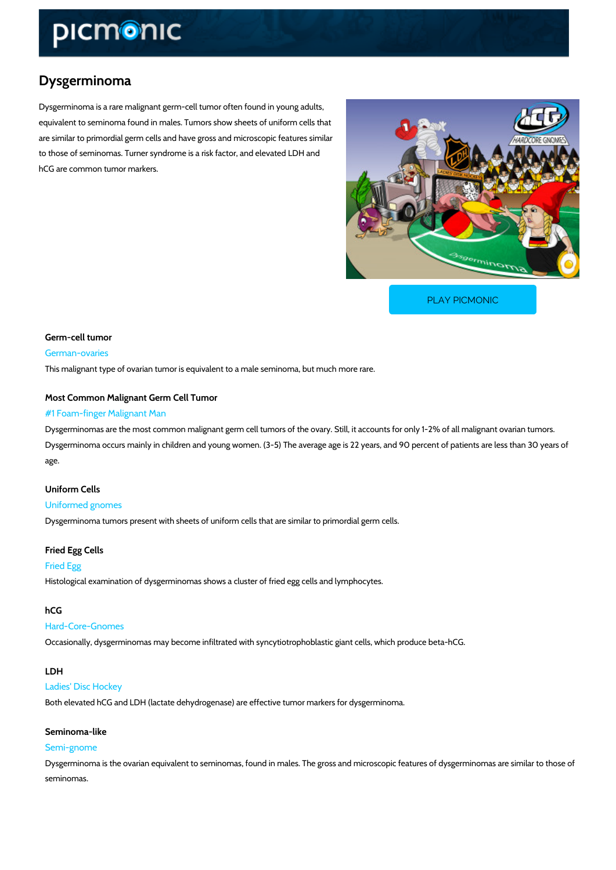# Dysgerminoma

Dysgerminoma is a rare malignant germ-cell tumor often found in young adults, equivalent to seminoma found in males. Tumors show sheets of uniform cells that are similar to primordial germ cells and have gross and microscopic features similar to those of seminomas. Turner syndrome is a risk factor, and elevated LDH and hCG are common tumor markers.

[PLAY PICMONIC](https://www.picmonic.com/learn/dysgerminoma_1070?utm_source=downloadable_content&utm_medium=distributedcontent&utm_campaign=pathways_pdf&utm_content=Dysgerminoma&utm_ad_group=leads&utm_market=all)

Germ-cell tumor German-ovaries This malignant type of ovarian tumor is equivalent to a male seminoma, but much more rare.

Most Common Malignant Germ Cell Tumor

# #1 Foam-finger Malignant Man

Dysgerminomas are the most common malignant germ cell tumors of the ovary. Still, it accoun Dysgerminoma occurs mainly in children and young women. (3-5) The average age is 22 years, age.

# Uniform Cells

Uniformed gnomes Dysgerminoma tumors present with sheets of uniform cells that are similar to primordial germ

Fried Egg Cells

#### Fried Egg

Histological examination of dysgerminomas shows a cluster of fried egg cells and lymphocytes.

### hCG

## Hard-Core-Gnomes

Occasionally, dysgerminomas may become infiltrated with syncytiotrophoblastic giant cells, w

#### LDH

#### Ladies' Disc Hockey

Both elevated hCG and LDH (lactate dehydrogenase) are effective tumor markers for dysgermi

# Seminoma-like

#### Semi-gnome

Dysgerminoma is the ovarian equivalent to seminomas, found in males. The gross and microsc seminomas.